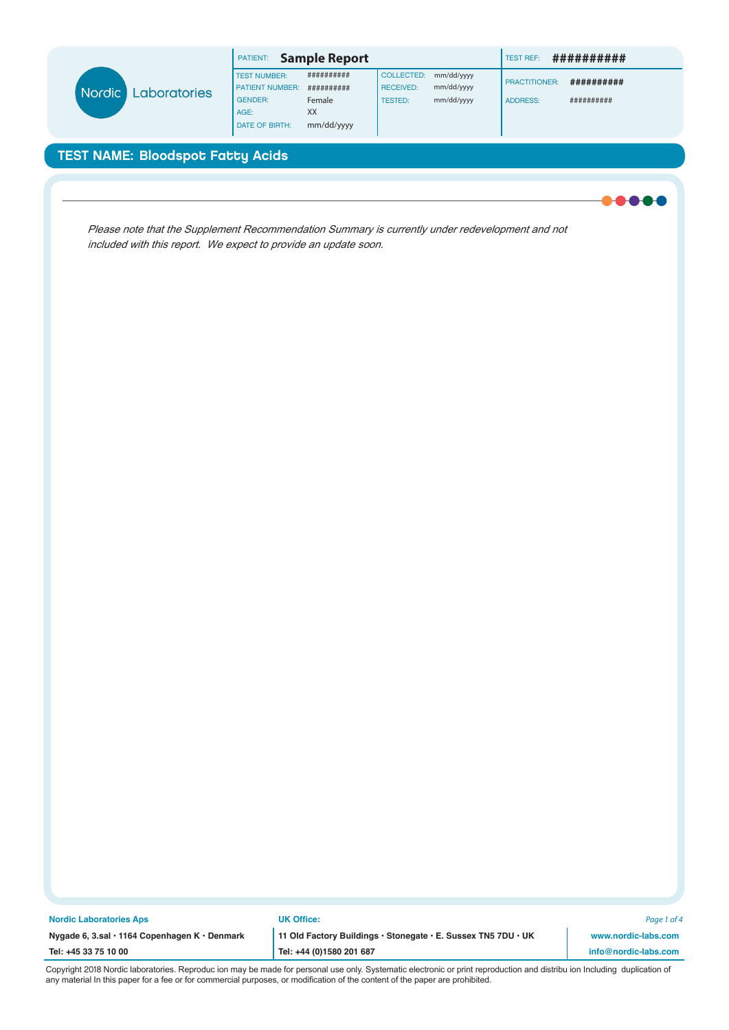| <b>Nordic</b><br>Laboratories | <b>Sample Report</b><br>PATIENT: |            |                  |            | ##########<br><b>TEST REF:</b> |            |
|-------------------------------|----------------------------------|------------|------------------|------------|--------------------------------|------------|
|                               | <b>TEST NUMBER:</b>              | ########## | COLLECTED:       | mm/dd/yyyy |                                |            |
|                               | <b>PATIENT NUMBER:</b>           | ########## | <b>RECEIVED:</b> | mm/dd/yyyy | <b>PRACTITIONER:</b>           | ########## |
|                               | <b>GENDER:</b>                   | Female     | <b>TESTED:</b>   | mm/dd/yyyy | <b>ADDRESS:</b>                | ########## |
|                               | AGE:                             | XX         |                  |            |                                |            |
|                               | DATE OF BIRTH:                   | mm/dd/yyyy |                  |            |                                |            |

Please note that the Supplement Recommendation Summary is currently under redevelopment and not included with this report. We expect to provide an update soon.

| <b>Nordic Laboratories Aps</b>                | <b>UK Office:</b>                                             | Page 1 of 4          |
|-----------------------------------------------|---------------------------------------------------------------|----------------------|
| Nygade 6, 3.sal · 1164 Copenhagen K · Denmark | 11 Old Factory Buildings · Stonegate · E. Sussex TN5 7DU · UK | www.nordic-labs.com  |
| Tel: +45 33 75 10 00                          | $'$ Tel: +44 (0)1580 201 687                                  | info@nordic-labs.com |
|                                               |                                                               |                      |

Copyright 2018 Nordic laboratories. Reproduc ion may be made for personal use only. Systematic electronic or print reproduction and distribu ion Including duplication of any material In this paper for a fee or for commercial purposes, or modification of the content of the paper are prohibited.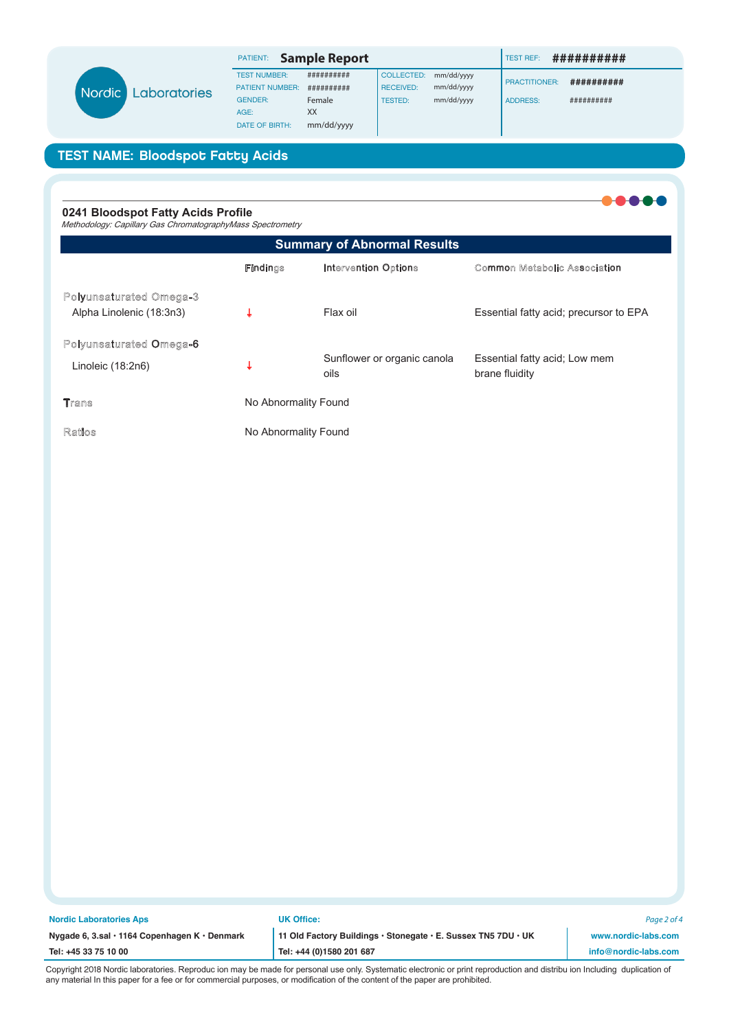| <b>Nordic</b><br>Laboratories | <b>Sample Report</b><br>PATIENT: |            |                  |            | ##########<br><b>TEST REF:</b> |            |
|-------------------------------|----------------------------------|------------|------------------|------------|--------------------------------|------------|
|                               | <b>TEST NUMBER:</b>              | ########## | COLLECTED:       | mm/dd/yyyy |                                |            |
|                               | <b>PATIENT NUMBER:</b>           | ########## | <b>RECEIVED:</b> | mm/dd/yyyy | <b>PRACTITIONER:</b>           | ########## |
|                               | <b>GENDER:</b>                   | Female     | <b>TESTED:</b>   | mm/dd/yyyy | <b>ADDRESS:</b>                | ########## |
|                               | AGE:                             | XX         |                  |            |                                |            |
|                               | <b>DATE OF BIRTH:</b>            | mm/dd/yyyy |                  |            |                                |            |

#### 0241 Bloodspot Fatty Acids Profile Methodology: Capillary Gas ChromatographyMass Spectrometry **Summary of Abnormal Results Findings Intervention Options Common Metabolic Association Polyunsaturated Omega-3** Impaired nerve nction esp t e e e  $\downarrow$ Fis oils or e tracts Alpha Linolenic (18:3n3) Polyunsaturated Omega-6 ssential att acid o membrane n lo er or organic canola  $\downarrow$ Linoleic (18:2n6) I idit oils Ins icient class eicosanoid cell Dihomogamma Linolenic (20:3n6)  $\downarrow$ A so rces se controls Ins icient class eicosanoid cell con Arachidonic (20:4n6)  $\downarrow$ se A or A so rces  $t$ mls **Trans** < yperlipidemia and Total C:18 Trans  $\hat{\mathsf{T}}$ drogenated oils Avoid degenerative diseases **Ratios** Index of Omega-3 Fatty Acids  $\downarrow$ Fis oils or e tracts Omega-3 insuZiciency

| <b>Nordic Laboratories Aps</b>                | <b>UK Office:</b>                                             | Page 2 of 4          |
|-----------------------------------------------|---------------------------------------------------------------|----------------------|
| Nygade 6, 3.sal · 1164 Copenhagen K · Denmark | 11 Old Factory Buildings · Stonegate · E. Sussex TN5 7DU · UK | www.nordic-labs.com  |
| Tel: +45 33 75 10 00                          | Tel: +44 (0)1580 201 687                                      | info@nordic-labs.com |
| .                                             |                                                               |                      |

Copyright 2018 Nordic laboratories. Reproduc ion may be made for personal use only. Systematic electronic or print reproduction and distribu ion Including duplication of any material In this paper for a fee or for commercial purposes, or modification of the content of the paper are prohibited.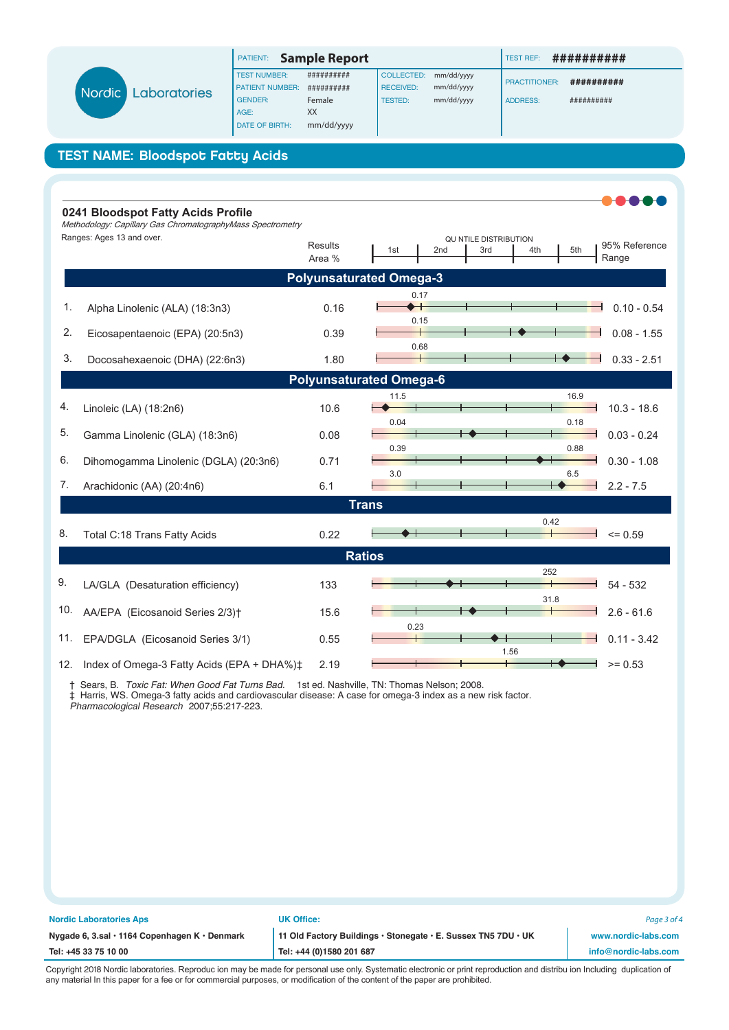| <b>Sample Report</b><br>PATIENT: |            |                  |            | ##########<br><b>TEST REF:</b> |                      |
|----------------------------------|------------|------------------|------------|--------------------------------|----------------------|
| <b>TEST NUMBER:</b>              | ########## | COLLECTED:       | mm/dd/yyyy |                                |                      |
| <b>PATIENT NUMBER:</b>           | ########## | <b>RECEIVED:</b> | mm/dd/yyyy |                                | ##########           |
| <b>GENDER:</b>                   | Female     | <b>TESTED:</b>   | mm/dd/yyyy | <b>ADDRESS:</b>                | ##########           |
| AGE:                             | XX         |                  |            |                                |                      |
| <b>DATE OF BIRTH:</b>            | mm/dd/yyyy |                  |            |                                |                      |
|                                  |            |                  |            |                                | <b>PRACTITIONER:</b> |

|     | 0241 Bloodspot Fatty Acids Profile<br>Methodology: Capillary Gas ChromatographyMass Spectrometry |                          |                                                                                                |
|-----|--------------------------------------------------------------------------------------------------|--------------------------|------------------------------------------------------------------------------------------------|
|     | Ranges: Ages 13 and over.                                                                        | <b>Results</b><br>Area % | QU NTILE DISTRIBUTION<br>95% Reference<br>5th<br>1st<br>2 <sub>nd</sub><br>3rd<br>4th<br>Range |
|     |                                                                                                  |                          | <b>Polyunsaturated Omega-3</b>                                                                 |
| 1.  | Alpha Linolenic (ALA) (18:3n3)                                                                   | 0.16                     | 0.17<br>$0.10 - 0.54$<br>0.15                                                                  |
| 2.  | Eicosapentaenoic (EPA) (20:5n3)                                                                  | 0.39                     | $0.08 - 1.55$                                                                                  |
| 3.  | Docosahexaenoic (DHA) (22:6n3)                                                                   | 1.80                     | 0.68<br>$0.33 - 2.51$                                                                          |
|     |                                                                                                  |                          | <b>Polyunsaturated Omega-6</b>                                                                 |
| 4.  | Linoleic (LA) (18:2n6)                                                                           | 10.6                     | 11.5<br>16.9<br>$10.3 - 18.6$<br>0.04<br>0.18                                                  |
| 5.  | Gamma Linolenic (GLA) (18:3n6)                                                                   | 0.08                     | $0.03 - 0.24$                                                                                  |
| 6.  | Dihomogamma Linolenic (DGLA) (20:3n6)                                                            | 0.71                     | 0.39<br>0.88<br>$0.30 - 1.08$<br>3.0<br>6.5                                                    |
| 7.  | Arachidonic (AA) (20:4n6)                                                                        | 6.1                      | $2.2 - 7.5$                                                                                    |
|     |                                                                                                  |                          | <b>Trans</b>                                                                                   |
| 8.  | Total C:18 Trans Fatty Acids                                                                     | 0.22                     | 0.42<br>$= 0.59$                                                                               |
|     |                                                                                                  |                          | <b>Ratios</b>                                                                                  |
| 9.  | LA/GLA (Desaturation efficiency)                                                                 | 133                      | 252<br>$54 - 532$                                                                              |
| 10. | AA/EPA (Eicosanoid Series 2/3) <sup>+</sup>                                                      | 15.6                     | 31.8<br>$2.6 - 61.6$<br>0.23                                                                   |
| 11. | EPA/DGLA (Eicosanoid Series 3/1)                                                                 | 0.55                     | $0.11 - 3.42$                                                                                  |
|     | 12. Index of Omega-3 Fatty Acids (EPA + DHA%)‡                                                   | 2.19                     | 1.56<br>$= 0.53$                                                                               |

† Sears, B. Toxic Fat: When Good Fat Turns Bad. 1st ed. Nashville, TN: Thomas Nelson; 2008.

‡ Harris, WS. Omega-3 fatty acids and cardiovascular disease: A case for omega-3 index as a new risk factor.

Pharmacological Research 2007;55:217-223.

| <b>Nordic Laboratories Aps</b>                | <b>UK Office:</b>                                             | Page 3 of 4          |
|-----------------------------------------------|---------------------------------------------------------------|----------------------|
| Nygade 6, 3.sal · 1164 Copenhagen K · Denmark | 11 Old Factory Buildings · Stonegate · E. Sussex TN5 7DU · UK | www.nordic-labs.com  |
| Tel: +45 33 75 10 00                          | Tel: +44 (0)1580 201 687                                      | info@nordic-labs.com |
|                                               |                                                               |                      |

Copyright 2018 Nordic laboratories. Reproduc ion may be made for personal use only. Systematic electronic or print reproduction and distribu ion Including duplication of any material In this paper for a fee or for commercial purposes, or modification of the content of the paper are prohibited.